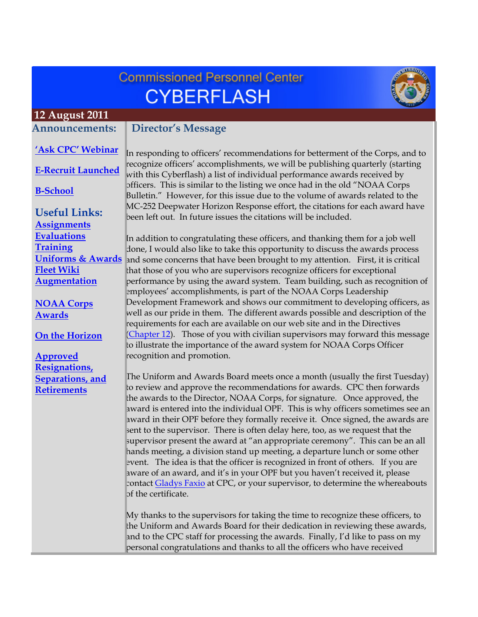# **Commissioned Personnel Center CYBERFLASH**



#### <span id="page-0-0"></span> **12 August 2011 Announcements:**

#### **Director's Message**

**['Ask CPC' Webinar](#page-2-0)**

**[E-Recruit Launched](#page-2-0)**

**[B-School](#page-2-0)**

**Useful Links: [Assignments](http://www.corpscpc.noaa.gov/careermgmt/assignments.html) [Evaluations](http://www.corpscpc.noaa.gov/careermgmt/evaluation.html) [Training](http://www.corpscpc.noaa.gov/careermgmt/training.html) [Uniforms & Awards](http://www.corpscpc.noaa.gov/perservices/awards.html) [Fleet Wiki](https://www.st.nmfs.noaa.gov/confluence/login.action;jsessionid=C5B6BD1551DD9D884DACD20F661318E5?os_destination=%2Fdisplay%2FFleetWiki%2FHome) [Augmentation](http://www.corpscpc.noaa.gov/cpchome/augmentation.html)**

**[NOAA Corps](#page-3-0) Awards**

#### **[On the Horizon](#page-5-0)**

**Approved Resignations, [Separations, and](#page-5-0) Retirements**

In responding to officers' recommendations for betterment of the Corps, and to recognize officers' accomplishments, we will be publishing quarterly (starting with this Cyberflash) a list of individual performance awards received by officers. This is similar to the listing we once had in the old "NOAA Corps Bulletin." However, for this issue due to the volume of awards related to the MC-252 Deepwater Horizon Response effort, the citations for each award have been left out. In future issues the citations will be included.

In addition to congratulating these officers, and thanking them for a job well done, I would also like to take this opportunity to discuss the awards process and some concerns that have been brought to my attention. First, it is critical that those of you who are supervisors recognize officers for exceptional performance by using the award system. Team building, such as recognition of employees' accomplishments, is part of the NOAA Corps Leadership Development Framework and shows our commitment to developing officers, as well as our pride in them. The different awards possible and description of the requirements for each are available on our web site and in the Directives (Chapter 12). Those of you with civilian supervisors may forward this message to illustrate the importance of the award system for NOAA Corps Officer recognition and promotion.

The Uniform and Awards Board meets once a month (usually the first Tuesday) to review and approve the recommendations for awards. CPC then forwards the awards to the Director, NOAA Corps, for signature. Once approved, the award is entered into the individual OPF. This is why officers sometimes see an award in their OPF before they formally receive it. Once signed, the awards are sent to the supervisor. There is often delay here, too, as we request that the supervisor present the award at "an appropriate ceremony". This can be an all hands meeting, a division stand up meeting, a departure lunch or some other event. The idea is that the officer is recognized in front of others. If you are aware of an award, and it's in your OPF but you haven't received it, please contact **Gladys Faxio** at CPC, or your supervisor, to determine the whereabouts of the certificate.

My thanks to the supervisors for taking the time to recognize these officers, to the Uniform and Awards Board for their dedication in reviewing these awards, and to the CPC staff for processing the awards. Finally, I'd like to pass on my personal congratulations and thanks to all the officers who have received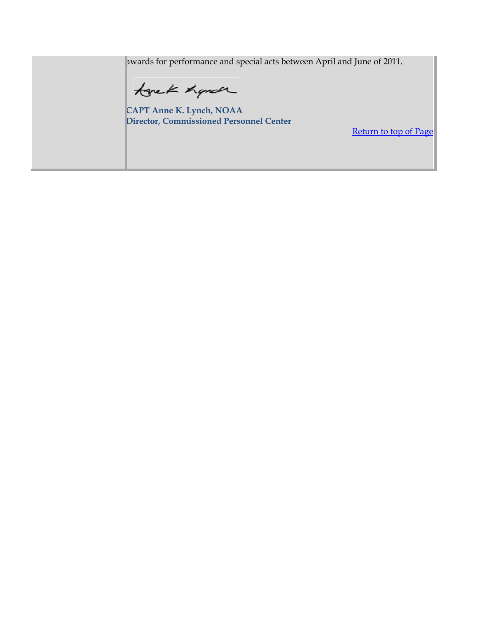awards for performance and special acts between April and June of 2011.

tone K hande

CAPT Anne K. Lynch, NOAA Director, Commissioned Personnel Center

Return to top of Page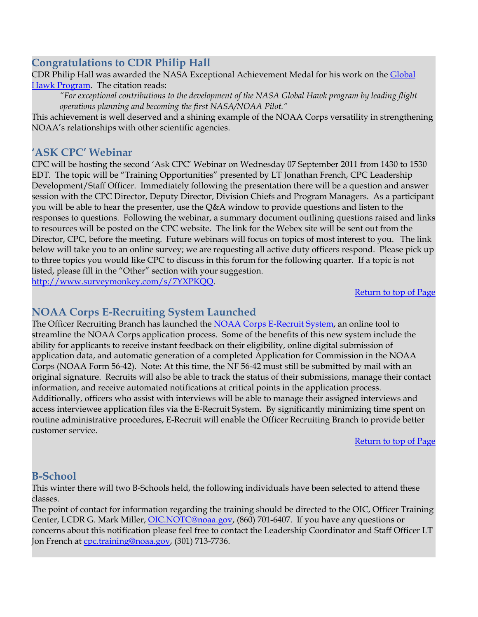## <span id="page-2-0"></span>**Congratulations to CDR Philip Hall**

CDR Philip Hall was awarded the NASA Exceptional Achievement Medal for his work on the Global Hawk Program. The citation reads:

*"For exceptional contributions to the development of the NASA Global Hawk program by leading flight operations planning and becoming the first NASA/NOAA Pilot."* 

This achievement is well deserved and a shining example of the NOAA Corps versatility in strengthening NOAA's relationships with other scientific agencies.

### **'ASK CPC' Webinar**

CPC will be hosting the second 'Ask CPC' Webinar on Wednesday 07 September 2011 from 1430 to 1530 EDT. The topic will be "Training Opportunities" presented by LT Jonathan French, CPC Leadership Development/Staff Officer. Immediately following the presentation there will be a question and answer session with the CPC Director, Deputy Director, Division Chiefs and Program Managers. As a participant you will be able to hear the presenter, use the Q&A window to provide questions and listen to the responses to questions. Following the webinar, a summary document outlining questions raised and links to resources will be posted on the CPC website. The link for the Webex site will be sent out from the Director, CPC, before the meeting.Future webinars will focus on topics of most interest to you. The link below will take you to an online survey; we are requesting all active duty officers respond. Please pick up to three topics you would like CPC to discuss in this forum for the following quarter. If a topic is not listed, please fill in the "Other" section with your suggestion. http://www.surveymonkey.com/s/7YXPKQQ.

[Return to top of Page](#page-0-0)

## **NOAA Corps E-Recruiting System Launched**

The Officer Recruiting Branch has launched the NOAA Corps E-Recruit System, an online tool to streamline the NOAA Corps application process. Some of the benefits of this new system include the ability for applicants to receive instant feedback on their eligibility, online digital submission of application data, and automatic generation of a completed Application for Commission in the NOAA Corps (NOAA Form 56-42). Note: At this time, the NF 56-42 must still be submitted by mail with an original signature. Recruits will also be able to track the status of their submissions, manage their contact information, and receive automated notifications at critical points in the application process. Additionally, officers who assist with interviews will be able to manage their assigned interviews and access interviewee application files via the E-Recruit System. By significantly minimizing time spent on routine administrative procedures, E-Recruit will enable the Officer Recruiting Branch to provide better customer service.

[Return to top of Page](#page-0-0)

#### **B-School**

This winter there will two B-Schools held, the following individuals have been selected to attend these classes.

The point of contact for information regarding the training should be directed to the OIC, Officer Training Center, LCDR G. Mark Miller, OIC.NOTC@noaa.gov, (860) 701-6407. If you have any questions or concerns about this notification please feel free to contact the Leadership Coordinator and Staff Officer LT Jon French at cpc.training@noaa.gov, (301) 713-7736.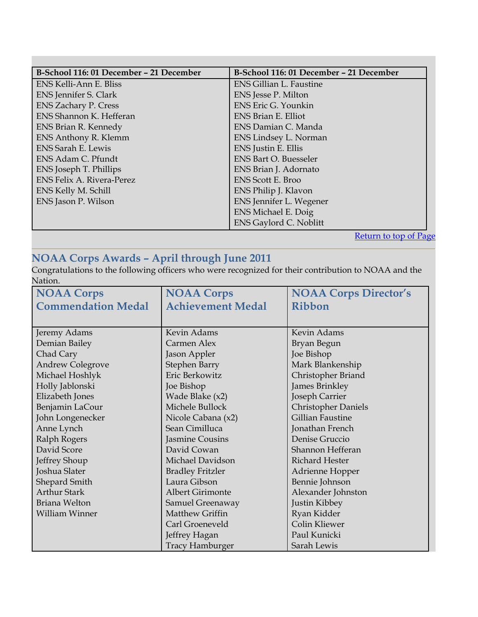<span id="page-3-0"></span>

| B-School 116: 01 December - 21 December | B-School 116: 01 December - 21 December      |  |
|-----------------------------------------|----------------------------------------------|--|
| ENS Kelli-Ann E. Bliss                  | <b>ENS Gillian L. Faustine</b>               |  |
| ENS Jennifer S. Clark                   | ENS Jesse P. Milton                          |  |
| <b>ENS Zachary P. Cress</b>             | ENS Eric G. Younkin                          |  |
| ENS Shannon K. Hefferan                 | ENS Brian E. Elliot                          |  |
| ENS Brian R. Kennedy                    | ENS Damian C. Manda                          |  |
| <b>ENS Anthony R. Klemm</b>             | ENS Lindsey L. Norman                        |  |
| <b>ENS Sarah E. Lewis</b>               | ENS Justin E. Ellis                          |  |
| ENS Adam C. Pfundt                      | <b>ENS Bart O. Buesseler</b>                 |  |
| ENS Joseph T. Phillips                  | ENS Brian J. Adornato                        |  |
| <b>ENS Felix A. Rivera-Perez</b>        | <b>ENS</b> Scott E. Broo                     |  |
| ENS Kelly M. Schill                     | ENS Philip J. Klavon                         |  |
| ENS Jason P. Wilson                     | ENS Jennifer L. Wegener                      |  |
|                                         | <b>ENS Michael E. Doig</b>                   |  |
|                                         | <b>ENS Gaylord C. Noblitt</b>                |  |
|                                         | $\sim$ $\sim$<br>$\mathbf{r}$ , $\mathbf{r}$ |  |

[Return to top of Page](#page-0-0)

## **NOAA Corps Awards – April through June 2011**

Congratulations to the following officers who were recognized for their contribution to NOAA and the Nation.

| <b>NOAA Corps</b>         | <b>NOAA Corps</b>        | <b>NOAA Corps Director's</b> |
|---------------------------|--------------------------|------------------------------|
| <b>Commendation Medal</b> | <b>Achievement Medal</b> | Ribbon                       |
|                           |                          |                              |
| Jeremy Adams              | Kevin Adams              | <b>Kevin Adams</b>           |
| Demian Bailey             | Carmen Alex              | Bryan Begun                  |
| Chad Cary                 | Jason Appler             | Joe Bishop                   |
| <b>Andrew Colegrove</b>   | Stephen Barry            | Mark Blankenship             |
| Michael Hoshlyk           | Eric Berkowitz           | Christopher Briand           |
| Holly Jablonski           | Joe Bishop               | James Brinkley               |
| Elizabeth Jones           | Wade Blake (x2)          | Joseph Carrier               |
| Benjamin LaCour           | Michele Bullock          | <b>Christopher Daniels</b>   |
| John Longenecker          | Nicole Cabana (x2)       | <b>Gillian Faustine</b>      |
| Anne Lynch                | Sean Cimilluca           | Jonathan French              |
| Ralph Rogers              | Jasmine Cousins          | Denise Gruccio               |
| David Score               | David Cowan              | Shannon Hefferan             |
| Jeffrey Shoup             | Michael Davidson         | <b>Richard Hester</b>        |
| Joshua Slater             | <b>Bradley Fritzler</b>  | Adrienne Hopper              |
| Shepard Smith             | Laura Gibson             | Bennie Johnson               |
| <b>Arthur Stark</b>       | <b>Albert Girimonte</b>  | Alexander Johnston           |
| Briana Welton             | Samuel Greenaway         | Justin Kibbey                |
| William Winner            | Matthew Griffin          | Ryan Kidder                  |
|                           | Carl Groeneveld          | Colin Kliewer                |
|                           | Jeffrey Hagan            | Paul Kunicki                 |
|                           | <b>Tracy Hamburger</b>   | Sarah Lewis                  |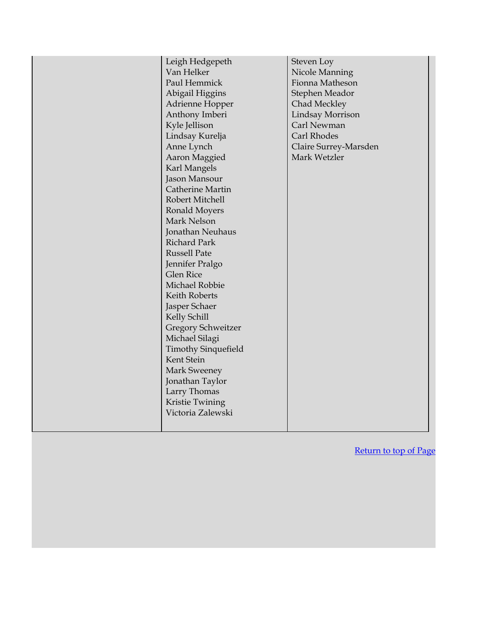| Van Helker<br>Paul Hemmick<br>Abigail Higgins<br>Kyle Jellison<br>Lindsay Kurelja<br>Anne Lynch<br>Aaron Maggied<br>Karl Mangels<br>Jason Mansour<br>Robert Mitchell<br>Ronald Moyers<br>Mark Nelson<br><b>Richard Park</b><br><b>Russell Pate</b><br>Jennifer Pralgo<br><b>Glen Rice</b><br>Michael Robbie<br>Keith Roberts<br>Jasper Schaer<br>Kelly Schill<br>Michael Silagi<br>Kent Stein<br><b>Mark Sweeney</b><br>Larry Thomas<br>Kristie Twining | Leigh Hedgepeth<br>Adrienne Hopper<br>Anthony Imberi<br>Catherine Martin<br>Jonathan Neuhaus<br><b>Gregory Schweitzer</b><br><b>Timothy Sinquefield</b><br>Jonathan Taylor<br>Victoria Zalewski | Steven Loy<br>Nicole Manning<br>Fionna Matheson<br>Stephen Meador<br>Chad Meckley<br>Lindsay Morrison<br>Carl Newman<br>Carl Rhodes<br>Claire Surrey-Marsden<br>Mark Wetzler |
|---------------------------------------------------------------------------------------------------------------------------------------------------------------------------------------------------------------------------------------------------------------------------------------------------------------------------------------------------------------------------------------------------------------------------------------------------------|-------------------------------------------------------------------------------------------------------------------------------------------------------------------------------------------------|------------------------------------------------------------------------------------------------------------------------------------------------------------------------------|
|---------------------------------------------------------------------------------------------------------------------------------------------------------------------------------------------------------------------------------------------------------------------------------------------------------------------------------------------------------------------------------------------------------------------------------------------------------|-------------------------------------------------------------------------------------------------------------------------------------------------------------------------------------------------|------------------------------------------------------------------------------------------------------------------------------------------------------------------------------|

[Return to top of Page](#page-0-0)